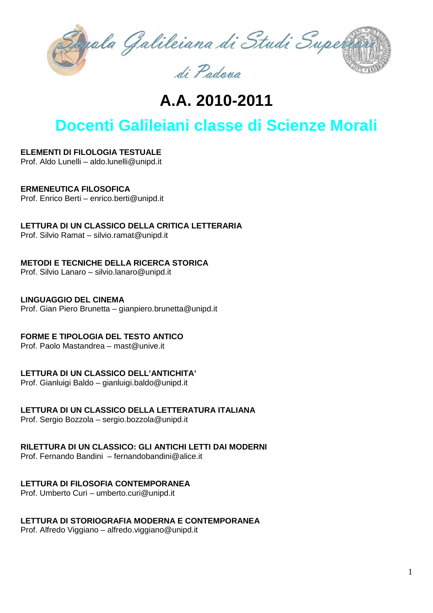

# **A.A. 2010-2011**

## **Docenti Galileiani classe di Scienze Morali**

## **ELEMENTI DI FILOLOGIA TESTUALE**

Prof. Aldo Lunelli – aldo.lunelli@unipd.it

## **ERMENEUTICA FILOSOFICA**

Prof. Enrico Berti – enrico.berti@unipd.it

## **LETTURA DI UN CLASSICO DELLA CRITICA LETTERARIA**

Prof. Silvio Ramat – silvio.ramat@unipd.it

#### **METODI E TECNICHE DELLA RICERCA STORICA**

Prof. Silvio Lanaro – silvio.lanaro@unipd.it

## **LINGUAGGIO DEL CINEMA**

Prof. Gian Piero Brunetta – gianpiero.brunetta@unipd.it

## **FORME E TIPOLOGIA DEL TESTO ANTICO**

Prof. Paolo Mastandrea – mast@unive.it

## **LETTURA DI UN CLASSICO DELL'ANTICHITA'**

Prof. Gianluigi Baldo – gianluigi.baldo@unipd.it

## **LETTURA DI UN CLASSICO DELLA LETTERATURA ITALIANA**

Prof. Sergio Bozzola – sergio.bozzola@unipd.it

## **RILETTURA DI UN CLASSICO: GLI ANTICHI LETTI DAI MODERNI**

Prof. Fernando Bandini– fernandobandini@alice.it

## **LETTURA DI FILOSOFIA CONTEMPORANEA**

Prof. Umberto Curi – umberto.curi@unipd.it

## **LETTURA DI STORIOGRAFIA MODERNA E CONTEMPORANEA**

Prof. Alfredo Viggiano – alfredo.viggiano@unipd.it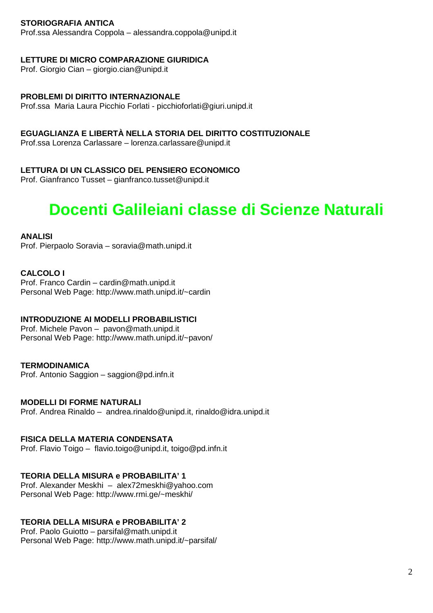## **STORIOGRAFIA ANTICA**

Prof.ssa Alessandra Coppola – alessandra.coppola@unipd.it

#### **LETTURE DI MICRO COMPARAZIONE GIURIDICA**

Prof. Giorgio Cian – giorgio.cian@unipd.it

#### **PROBLEMI DI DIRITTO INTERNAZIONALE**

Prof.ssa Maria Laura Picchio Forlati - picchioforlati@giuri.unipd.it

#### **EGUAGLIANZA E LIBERTÀ NELLA STORIA DEL DIRITTO COSTITUZIONALE**

Prof.ssa Lorenza Carlassare – lorenza.carlassare@unipd.it

## **LETTURA DI UN CLASSICO DEL PENSIERO ECONOMICO**

Prof. Gianfranco Tusset – gianfranco.tusset@unipd.it

## **Docenti Galileiani classe di Scienze Naturali**

#### **ANALISI**

Prof. Pierpaolo Soravia – soravia@math.unipd.it

#### **CALCOLO I**

Prof. Franco Cardin – cardin@math.unipd.it Personal Web Page: http://www.math.unipd.it/~cardin

## **INTRODUZIONE AI MODELLI PROBABILISTICI**

Prof. Michele Pavon – pavon@math.unipd.it Personal Web Page: http://www.math.unipd.it/~pavon/

#### **TERMODINAMICA**

Prof. Antonio Saggion – saggion@pd.infn.it

## **MODELLI DI FORME NATURALI**

Prof. Andrea Rinaldo – andrea.rinaldo@unipd.it, rinaldo@idra.unipd.it

#### **FISICA DELLA MATERIA CONDENSATA**

Prof. Flavio Toigo – flavio.toigo@unipd.it, toigo@pd.infn.it

## **TEORIA DELLA MISURA e PROBABILITA' 1**

Prof. Alexander Meskhi – alex72meskhi@yahoo.com Personal Web Page: http://www.rmi.ge/~meskhi/

## **TEORIA DELLA MISURA e PROBABILITA' 2**

Prof. Paolo Guiotto – parsifal@math.unipd.it Personal Web Page: http://www.math.unipd.it/~parsifal/